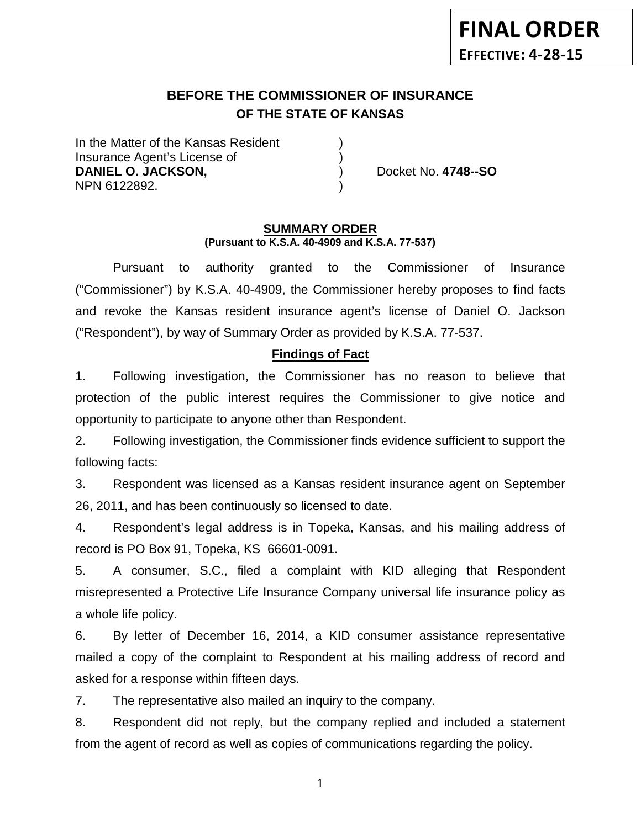# **BEFORE THE COMMISSIONER OF INSURANCE OF THE STATE OF KANSAS**

In the Matter of the Kansas Resident Insurance Agent's License of ) **DANIEL O. JACKSON,**  (a)  $\qquad$  (b) Docket No. **4748--SO** NPN 6122892. )

#### **SUMMARY ORDER (Pursuant to K.S.A. 40-4909 and K.S.A. 77-537)**

Pursuant to authority granted to the Commissioner of Insurance ("Commissioner") by K.S.A. 40-4909, the Commissioner hereby proposes to find facts and revoke the Kansas resident insurance agent's license of Daniel O. Jackson ("Respondent"), by way of Summary Order as provided by K.S.A. 77-537.

## **Findings of Fact**

1. Following investigation, the Commissioner has no reason to believe that protection of the public interest requires the Commissioner to give notice and opportunity to participate to anyone other than Respondent.

2. Following investigation, the Commissioner finds evidence sufficient to support the following facts:

3. Respondent was licensed as a Kansas resident insurance agent on September 26, 2011, and has been continuously so licensed to date.

4. Respondent's legal address is in Topeka, Kansas, and his mailing address of record is PO Box 91, Topeka, KS 66601-0091.

5. A consumer, S.C., filed a complaint with KID alleging that Respondent misrepresented a Protective Life Insurance Company universal life insurance policy as a whole life policy.

6. By letter of December 16, 2014, a KID consumer assistance representative mailed a copy of the complaint to Respondent at his mailing address of record and asked for a response within fifteen days.

7. The representative also mailed an inquiry to the company.

8. Respondent did not reply, but the company replied and included a statement from the agent of record as well as copies of communications regarding the policy.

1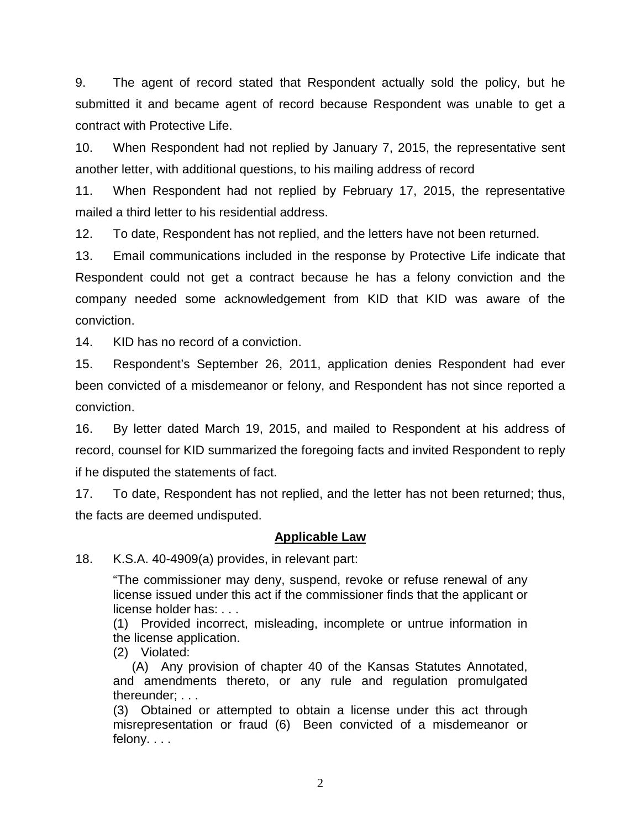9. The agent of record stated that Respondent actually sold the policy, but he submitted it and became agent of record because Respondent was unable to get a contract with Protective Life.

10. When Respondent had not replied by January 7, 2015, the representative sent another letter, with additional questions, to his mailing address of record

11. When Respondent had not replied by February 17, 2015, the representative mailed a third letter to his residential address.

12. To date, Respondent has not replied, and the letters have not been returned.

13. Email communications included in the response by Protective Life indicate that Respondent could not get a contract because he has a felony conviction and the company needed some acknowledgement from KID that KID was aware of the conviction.

14. KID has no record of a conviction.

15. Respondent's September 26, 2011, application denies Respondent had ever been convicted of a misdemeanor or felony, and Respondent has not since reported a conviction.

16. By letter dated March 19, 2015, and mailed to Respondent at his address of record, counsel for KID summarized the foregoing facts and invited Respondent to reply if he disputed the statements of fact.

17. To date, Respondent has not replied, and the letter has not been returned; thus, the facts are deemed undisputed.

#### **Applicable Law**

18. K.S.A. 40-4909(a) provides, in relevant part:

"The commissioner may deny, suspend, revoke or refuse renewal of any license issued under this act if the commissioner finds that the applicant or license holder has: . . .

(1) Provided incorrect, misleading, incomplete or untrue information in the license application.

(2) Violated:

(A) Any provision of chapter 40 of the Kansas Statutes Annotated, and amendments thereto, or any rule and regulation promulgated thereunder; . . .

(3) Obtained or attempted to obtain a license under this act through misrepresentation or fraud (6) Been convicted of a misdemeanor or felony. . . .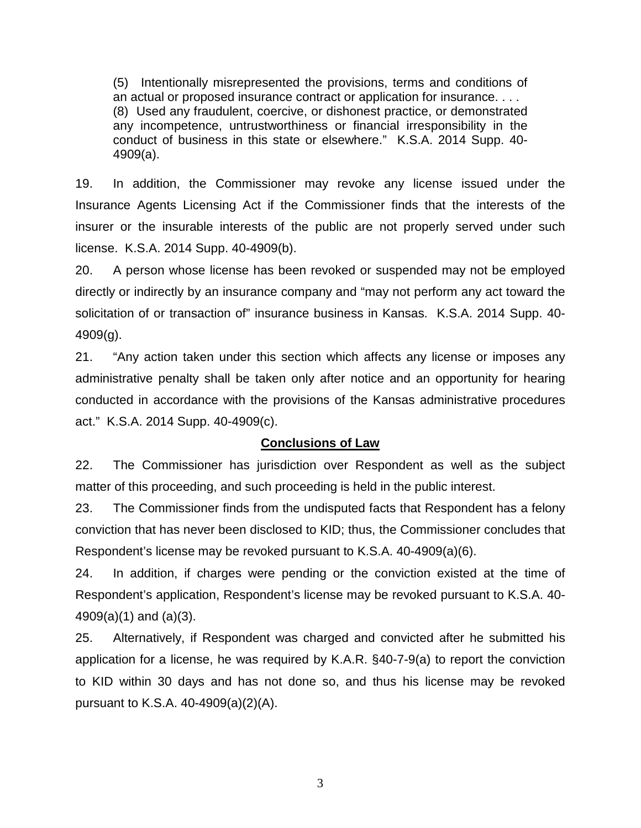(5) Intentionally misrepresented the provisions, terms and conditions of an actual or proposed insurance contract or application for insurance. . . . (8) Used any fraudulent, coercive, or dishonest practice, or demonstrated any incompetence, untrustworthiness or financial irresponsibility in the conduct of business in this state or elsewhere." K.S.A. 2014 Supp. 40- 4909(a).

19. In addition, the Commissioner may revoke any license issued under the Insurance Agents Licensing Act if the Commissioner finds that the interests of the insurer or the insurable interests of the public are not properly served under such license. K.S.A. 2014 Supp. 40-4909(b).

20. A person whose license has been revoked or suspended may not be employed directly or indirectly by an insurance company and "may not perform any act toward the solicitation of or transaction of" insurance business in Kansas. K.S.A. 2014 Supp. 40- 4909(g).

21. "Any action taken under this section which affects any license or imposes any administrative penalty shall be taken only after notice and an opportunity for hearing conducted in accordance with the provisions of the Kansas administrative procedures act." K.S.A. 2014 Supp. 40-4909(c).

### **Conclusions of Law**

22. The Commissioner has jurisdiction over Respondent as well as the subject matter of this proceeding, and such proceeding is held in the public interest.

23. The Commissioner finds from the undisputed facts that Respondent has a felony conviction that has never been disclosed to KID; thus, the Commissioner concludes that Respondent's license may be revoked pursuant to K.S.A. 40-4909(a)(6).

24. In addition, if charges were pending or the conviction existed at the time of Respondent's application, Respondent's license may be revoked pursuant to K.S.A. 40- 4909(a)(1) and (a)(3).

25. Alternatively, if Respondent was charged and convicted after he submitted his application for a license, he was required by K.A.R. §40-7-9(a) to report the conviction to KID within 30 days and has not done so, and thus his license may be revoked pursuant to K.S.A. 40-4909(a)(2)(A).

3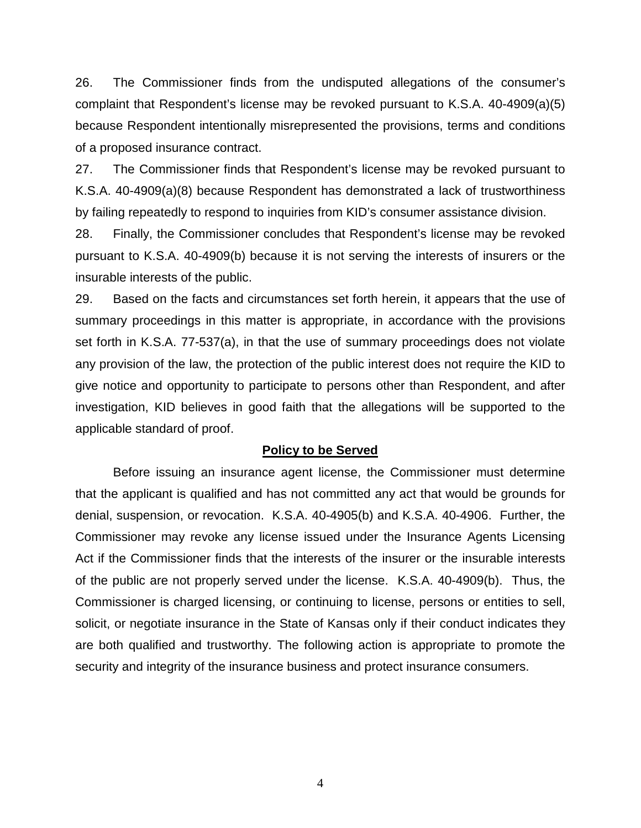26. The Commissioner finds from the undisputed allegations of the consumer's complaint that Respondent's license may be revoked pursuant to K.S.A. 40-4909(a)(5) because Respondent intentionally misrepresented the provisions, terms and conditions of a proposed insurance contract.

27. The Commissioner finds that Respondent's license may be revoked pursuant to K.S.A. 40-4909(a)(8) because Respondent has demonstrated a lack of trustworthiness by failing repeatedly to respond to inquiries from KID's consumer assistance division.

28. Finally, the Commissioner concludes that Respondent's license may be revoked pursuant to K.S.A. 40-4909(b) because it is not serving the interests of insurers or the insurable interests of the public.

29. Based on the facts and circumstances set forth herein, it appears that the use of summary proceedings in this matter is appropriate, in accordance with the provisions set forth in K.S.A. 77-537(a), in that the use of summary proceedings does not violate any provision of the law, the protection of the public interest does not require the KID to give notice and opportunity to participate to persons other than Respondent, and after investigation, KID believes in good faith that the allegations will be supported to the applicable standard of proof.

#### **Policy to be Served**

Before issuing an insurance agent license, the Commissioner must determine that the applicant is qualified and has not committed any act that would be grounds for denial, suspension, or revocation. K.S.A. 40-4905(b) and K.S.A. 40-4906. Further, the Commissioner may revoke any license issued under the Insurance Agents Licensing Act if the Commissioner finds that the interests of the insurer or the insurable interests of the public are not properly served under the license. K.S.A. 40-4909(b). Thus, the Commissioner is charged licensing, or continuing to license, persons or entities to sell, solicit, or negotiate insurance in the State of Kansas only if their conduct indicates they are both qualified and trustworthy. The following action is appropriate to promote the security and integrity of the insurance business and protect insurance consumers.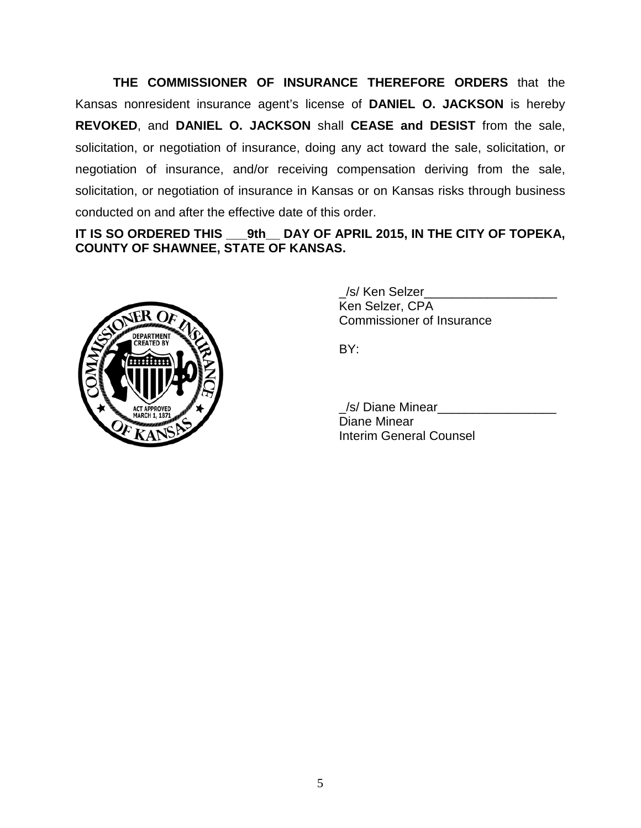**THE COMMISSIONER OF INSURANCE THEREFORE ORDERS** that the Kansas nonresident insurance agent's license of **DANIEL O. JACKSON** is hereby **REVOKED**, and **DANIEL O. JACKSON** shall **CEASE and DESIST** from the sale, solicitation, or negotiation of insurance, doing any act toward the sale, solicitation, or negotiation of insurance, and/or receiving compensation deriving from the sale, solicitation, or negotiation of insurance in Kansas or on Kansas risks through business conducted on and after the effective date of this order.

# **IT IS SO ORDERED THIS \_\_\_9th\_\_ DAY OF APRIL 2015, IN THE CITY OF TOPEKA, COUNTY OF SHAWNEE, STATE OF KANSAS.**



/s/ Ken Selzer Ken Selzer, CPA Commissioner of Insurance

BY:

\_/s/ Diane Minear\_\_\_\_\_\_\_\_\_\_\_\_\_\_\_\_\_ Diane Minear Interim General Counsel